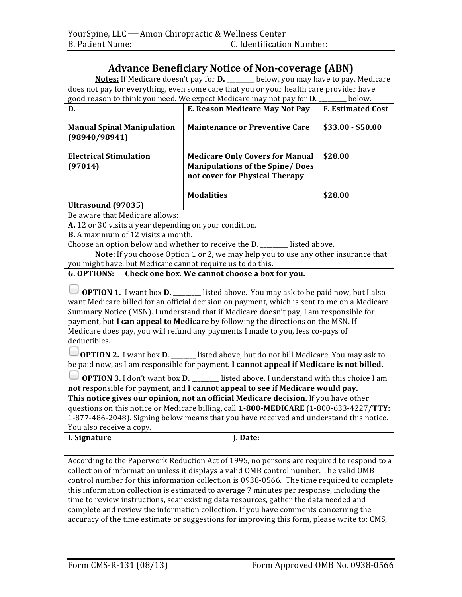## **Advance Beneficiary Notice of Non-coverage (ABN)**

**Notes:** If Medicare doesn't pay for **D.** \_\_\_\_\_\_ below, you may have to pay. Medicare does not pay for everything, even some care that you or your health care provider have good reason to think you need. We expect Medicare may not pay for **D**. \_\_\_\_\_\_ below.

| D.                                                 | E. Reason Medicare May Not Pay                                                                                      | <b>F. Estimated Cost</b> |
|----------------------------------------------------|---------------------------------------------------------------------------------------------------------------------|--------------------------|
| <b>Manual Spinal Manipulation</b><br>(98940/98941) | <b>Maintenance or Preventive Care</b>                                                                               | $$33.00 - $50.00$        |
| <b>Electrical Stimulation</b><br>(97014)           | <b>Medicare Only Covers for Manual</b><br><b>Manipulations of the Spine/ Does</b><br>not cover for Physical Therapy | \$28.00                  |
|                                                    | <b>Modalities</b>                                                                                                   | \$28.00                  |
| Ultrasound (97035)                                 |                                                                                                                     |                          |

Be aware that Medicare allows:

**A.** 12 or 30 visits a year depending on your condition.

**B.** A maximum of 12 visits a month.

Choose an option below and whether to receive the **D**. \_\_\_\_\_\_\_ listed above.

**Note:** If you choose Option 1 or 2, we may help you to use any other insurance that you might have, but Medicare cannot require us to do this.

## **G.** OPTIONS: Check one box. We cannot choose a box for you.

**OPTION 1.** I want box **D.** \_\_\_\_\_\_\_ listed above. You may ask to be paid now, but I also want Medicare billed for an official decision on payment, which is sent to me on a Medicare Summary Notice (MSN). I understand that if Medicare doesn't pay, I am responsible for payment, but I can appeal to Medicare by following the directions on the MSN. If Medicare does pay, you will refund any payments I made to you, less co-pays of deductibles.

**OPTION 2.** I want box **D**. \_\_\_\_\_\_ listed above, but do not bill Medicare. You may ask to be paid now, as I am responsible for payment. **I cannot appeal if Medicare is not billed.** 

**O OPTION** 3. I don't want box **D.** \_\_\_\_\_\_\_ listed above. I understand with this choice I am **not** responsible for payment, and I cannot appeal to see if Medicare would pay.

**This notice gives our opinion, not an official Medicare decision.** If you have other questions on this notice or Medicare billing, call **1-800-MEDICARE** (1-800-633-4227/**TTY:** 1-877-486-2048). Signing below means that you have received and understand this notice. You also receive a copy.

| ----------------------- |          |  |
|-------------------------|----------|--|
| I. Signature            | J. Date: |  |
|                         |          |  |

According to the Paperwork Reduction Act of 1995, no persons are required to respond to a collection of information unless it displays a valid OMB control number. The valid OMB control number for this information collection is 0938-0566. The time required to complete this information collection is estimated to average 7 minutes per response, including the time to review instructions, sear existing data resources, gather the data needed and complete and review the information collection. If you have comments concerning the accuracy of the time estimate or suggestions for improving this form, please write to: CMS,